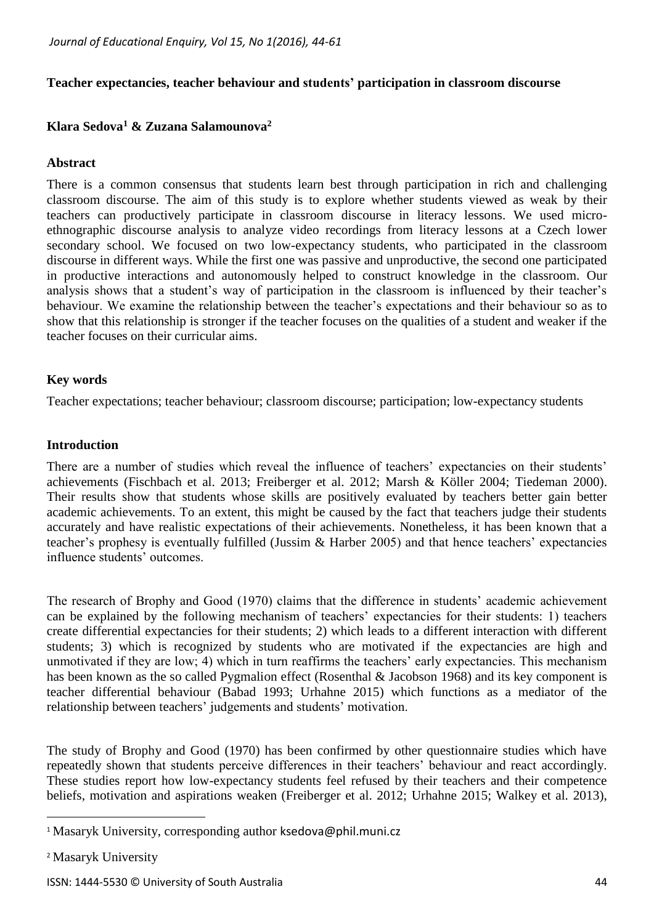### **Teacher expectancies, teacher behaviour and students' participation in classroom discourse**

## **Klara Sedova<sup>1</sup> & Zuzana Salamounova<sup>2</sup>**

#### **Abstract**

There is a common consensus that students learn best through participation in rich and challenging classroom discourse. The aim of this study is to explore whether students viewed as weak by their teachers can productively participate in classroom discourse in literacy lessons. We used microethnographic discourse analysis to analyze video recordings from literacy lessons at a Czech lower secondary school. We focused on two low-expectancy students, who participated in the classroom discourse in different ways. While the first one was passive and unproductive, the second one participated in productive interactions and autonomously helped to construct knowledge in the classroom. Our analysis shows that a student's way of participation in the classroom is influenced by their teacher's behaviour. We examine the relationship between the teacher's expectations and their behaviour so as to show that this relationship is stronger if the teacher focuses on the qualities of a student and weaker if the teacher focuses on their curricular aims.

#### **Key words**

Teacher expectations; teacher behaviour; classroom discourse; participation; low-expectancy students

### **Introduction**

There are a number of studies which reveal the influence of teachers' expectancies on their students' achievements (Fischbach et al. 2013; Freiberger et al. 2012; Marsh & Köller 2004; Tiedeman 2000). Their results show that students whose skills are positively evaluated by teachers better gain better academic achievements. To an extent, this might be caused by the fact that teachers judge their students accurately and have realistic expectations of their achievements. Nonetheless, it has been known that a teacher's prophesy is eventually fulfilled (Jussim & Harber 2005) and that hence teachers' expectancies influence students' outcomes.

The research of Brophy and Good (1970) claims that the difference in students' academic achievement can be explained by the following mechanism of teachers' expectancies for their students: 1) teachers create differential expectancies for their students; 2) which leads to a different interaction with different students; 3) which is recognized by students who are motivated if the expectancies are high and unmotivated if they are low; 4) which in turn reaffirms the teachers' early expectancies. This mechanism has been known as the so called Pygmalion effect (Rosenthal & Jacobson 1968) and its key component is teacher differential behaviour (Babad 1993; Urhahne 2015) which functions as a mediator of the relationship between teachers' judgements and students' motivation.

The study of Brophy and Good (1970) has been confirmed by other questionnaire studies which have repeatedly shown that students perceive differences in their teachers' behaviour and react accordingly. These studies report how low-expectancy students feel refused by their teachers and their competence beliefs, motivation and aspirations weaken (Freiberger et al. 2012; Urhahne 2015; Walkey et al. 2013),

 $\overline{a}$ 

<sup>&</sup>lt;sup>1</sup> Masaryk University, corresponding author [ksedova@phil.muni.cz](mailto:ksedova@phil.muni.cz)

<sup>2</sup> Masaryk University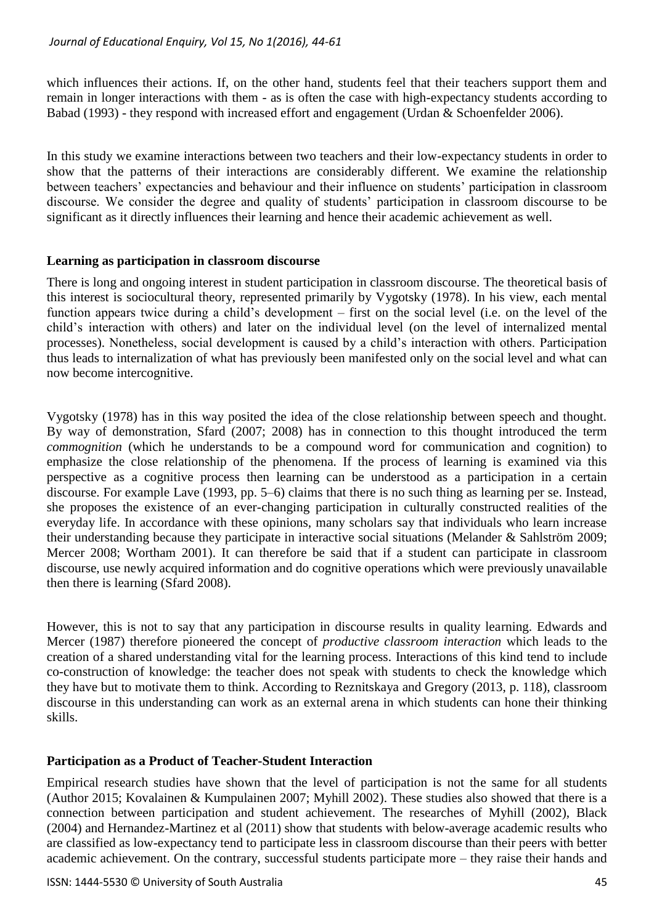which influences their actions. If, on the other hand, students feel that their teachers support them and remain in longer interactions with them - as is often the case with high-expectancy students according to Babad (1993) - they respond with increased effort and engagement (Urdan & Schoenfelder 2006).

In this study we examine interactions between two teachers and their low-expectancy students in order to show that the patterns of their interactions are considerably different. We examine the relationship between teachers' expectancies and behaviour and their influence on students' participation in classroom discourse. We consider the degree and quality of students' participation in classroom discourse to be significant as it directly influences their learning and hence their academic achievement as well.

## **Learning as participation in classroom discourse**

There is long and ongoing interest in student participation in classroom discourse. The theoretical basis of this interest is sociocultural theory, represented primarily by Vygotsky (1978). In his view, each mental function appears twice during a child's development – first on the social level (i.e. on the level of the child's interaction with others) and later on the individual level (on the level of internalized mental processes). Nonetheless, social development is caused by a child's interaction with others. Participation thus leads to internalization of what has previously been manifested only on the social level and what can now become intercognitive.

Vygotsky (1978) has in this way posited the idea of the close relationship between speech and thought. By way of demonstration, Sfard (2007; 2008) has in connection to this thought introduced the term *commognition* (which he understands to be a compound word for communication and cognition) to emphasize the close relationship of the phenomena. If the process of learning is examined via this perspective as a cognitive process then learning can be understood as a participation in a certain discourse. For example Lave (1993, pp. 5–6) claims that there is no such thing as learning per se. Instead, she proposes the existence of an ever-changing participation in culturally constructed realities of the everyday life. In accordance with these opinions, many scholars say that individuals who learn increase their understanding because they participate in interactive social situations (Melander & Sahlström 2009; Mercer 2008; Wortham 2001). It can therefore be said that if a student can participate in classroom discourse, use newly acquired information and do cognitive operations which were previously unavailable then there is learning (Sfard 2008).

However, this is not to say that any participation in discourse results in quality learning. Edwards and Mercer (1987) therefore pioneered the concept of *productive classroom interaction* which leads to the creation of a shared understanding vital for the learning process. Interactions of this kind tend to include co-construction of knowledge: the teacher does not speak with students to check the knowledge which they have but to motivate them to think. According to Reznitskaya and Gregory (2013, p. 118), classroom discourse in this understanding can work as an external arena in which students can hone their thinking skills.

## **Participation as a Product of Teacher-Student Interaction**

Empirical research studies have shown that the level of participation is not the same for all students (Author 2015; Kovalainen & Kumpulainen 2007; Myhill 2002). These studies also showed that there is a connection between participation and student achievement. The researches of Myhill (2002), Black (2004) and Hernandez-Martinez et al (2011) show that students with below-average academic results who are classified as low-expectancy tend to participate less in classroom discourse than their peers with better academic achievement. On the contrary, successful students participate more – they raise their hands and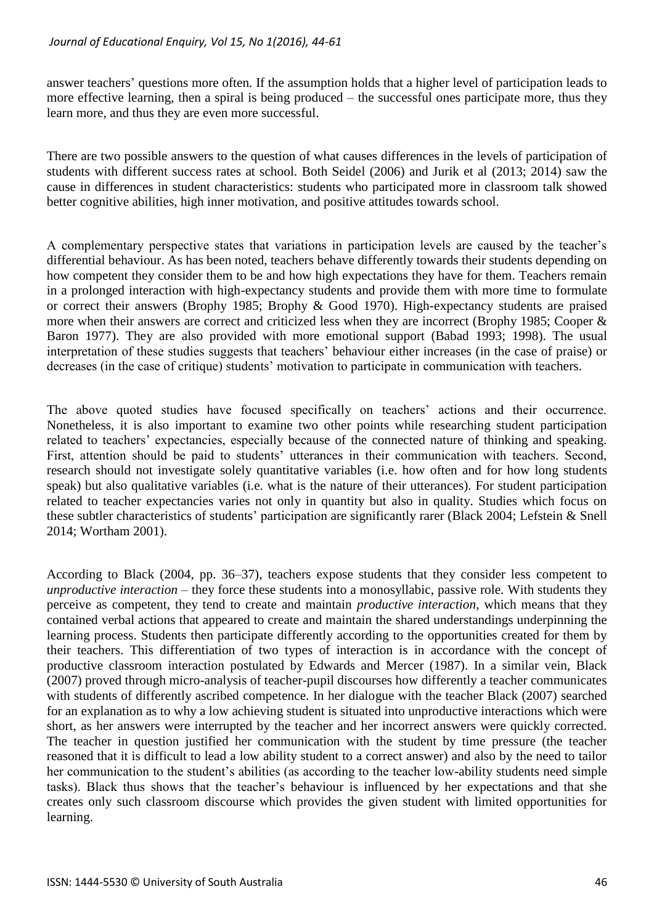answer teachers' questions more often. If the assumption holds that a higher level of participation leads to more effective learning, then a spiral is being produced – the successful ones participate more, thus they learn more, and thus they are even more successful.

There are two possible answers to the question of what causes differences in the levels of participation of students with different success rates at school. Both Seidel (2006) and Jurik et al (2013; 2014) saw the cause in differences in student characteristics: students who participated more in classroom talk showed better cognitive abilities, high inner motivation, and positive attitudes towards school.

A complementary perspective states that variations in participation levels are caused by the teacher's differential behaviour. As has been noted, teachers behave differently towards their students depending on how competent they consider them to be and how high expectations they have for them. Teachers remain in a prolonged interaction with high-expectancy students and provide them with more time to formulate or correct their answers (Brophy 1985; Brophy & Good 1970). High-expectancy students are praised more when their answers are correct and criticized less when they are incorrect (Brophy 1985; Cooper & Baron 1977). They are also provided with more emotional support (Babad 1993; 1998). The usual interpretation of these studies suggests that teachers' behaviour either increases (in the case of praise) or decreases (in the case of critique) students' motivation to participate in communication with teachers.

The above quoted studies have focused specifically on teachers' actions and their occurrence. Nonetheless, it is also important to examine two other points while researching student participation related to teachers' expectancies, especially because of the connected nature of thinking and speaking. First, attention should be paid to students' utterances in their communication with teachers. Second, research should not investigate solely quantitative variables (i.e. how often and for how long students speak) but also qualitative variables (i.e. what is the nature of their utterances). For student participation related to teacher expectancies varies not only in quantity but also in quality. Studies which focus on these subtler characteristics of students' participation are significantly rarer (Black 2004; Lefstein & Snell 2014; Wortham 2001).

According to Black (2004, pp. 36–37), teachers expose students that they consider less competent to *unproductive interaction* – they force these students into a monosyllabic, passive role. With students they perceive as competent, they tend to create and maintain *productive interaction,* which means that they contained verbal actions that appeared to create and maintain the shared understandings underpinning the learning process. Students then participate differently according to the opportunities created for them by their teachers. This differentiation of two types of interaction is in accordance with the concept of productive classroom interaction postulated by Edwards and Mercer (1987). In a similar vein, Black (2007) proved through micro-analysis of teacher-pupil discourses how differently a teacher communicates with students of differently ascribed competence. In her dialogue with the teacher Black (2007) searched for an explanation as to why a low achieving student is situated into unproductive interactions which were short, as her answers were interrupted by the teacher and her incorrect answers were quickly corrected. The teacher in question justified her communication with the student by time pressure (the teacher reasoned that it is difficult to lead a low ability student to a correct answer) and also by the need to tailor her communication to the student's abilities (as according to the teacher low-ability students need simple tasks). Black thus shows that the teacher's behaviour is influenced by her expectations and that she creates only such classroom discourse which provides the given student with limited opportunities for learning.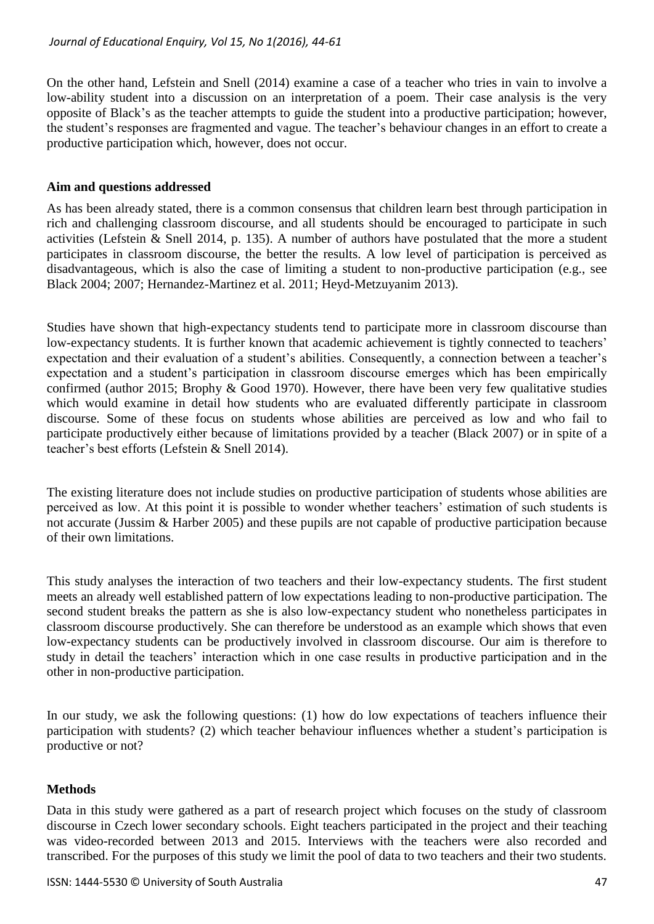On the other hand, Lefstein and Snell (2014) examine a case of a teacher who tries in vain to involve a low-ability student into a discussion on an interpretation of a poem. Their case analysis is the very opposite of Black's as the teacher attempts to guide the student into a productive participation; however, the student's responses are fragmented and vague. The teacher's behaviour changes in an effort to create a productive participation which, however, does not occur.

### **Aim and questions addressed**

As has been already stated, there is a common consensus that children learn best through participation in rich and challenging classroom discourse, and all students should be encouraged to participate in such activities (Lefstein & Snell 2014, p. 135). A number of authors have postulated that the more a student participates in classroom discourse, the better the results. A low level of participation is perceived as disadvantageous, which is also the case of limiting a student to non-productive participation (e.g., see Black 2004; 2007; Hernandez-Martinez et al. 2011; Heyd-Metzuyanim 2013).

Studies have shown that high-expectancy students tend to participate more in classroom discourse than low-expectancy students. It is further known that academic achievement is tightly connected to teachers' expectation and their evaluation of a student's abilities. Consequently, a connection between a teacher's expectation and a student's participation in classroom discourse emerges which has been empirically confirmed (author 2015; Brophy & Good 1970). However, there have been very few qualitative studies which would examine in detail how students who are evaluated differently participate in classroom discourse. Some of these focus on students whose abilities are perceived as low and who fail to participate productively either because of limitations provided by a teacher (Black 2007) or in spite of a teacher's best efforts (Lefstein & Snell 2014).

The existing literature does not include studies on productive participation of students whose abilities are perceived as low. At this point it is possible to wonder whether teachers' estimation of such students is not accurate (Jussim & Harber 2005) and these pupils are not capable of productive participation because of their own limitations.

This study analyses the interaction of two teachers and their low-expectancy students. The first student meets an already well established pattern of low expectations leading to non-productive participation. The second student breaks the pattern as she is also low-expectancy student who nonetheless participates in classroom discourse productively. She can therefore be understood as an example which shows that even low-expectancy students can be productively involved in classroom discourse. Our aim is therefore to study in detail the teachers' interaction which in one case results in productive participation and in the other in non-productive participation.

In our study, we ask the following questions: (1) how do low expectations of teachers influence their participation with students? (2) which teacher behaviour influences whether a student's participation is productive or not?

## **Methods**

Data in this study were gathered as a part of research project which focuses on the study of classroom discourse in Czech lower secondary schools. Eight teachers participated in the project and their teaching was video-recorded between 2013 and 2015. Interviews with the teachers were also recorded and transcribed. For the purposes of this study we limit the pool of data to two teachers and their two students.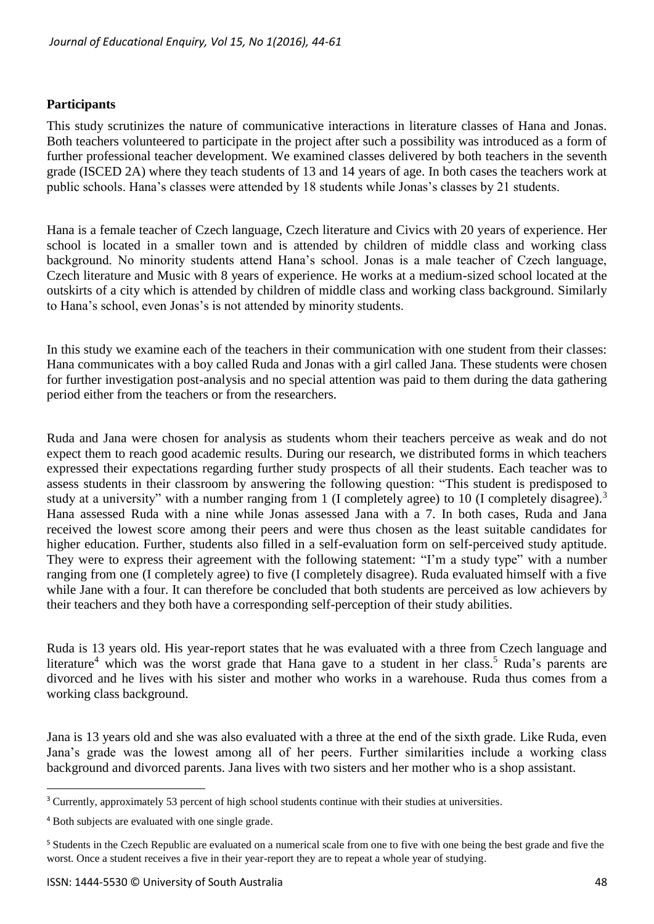### **Participants**

This study scrutinizes the nature of communicative interactions in literature classes of Hana and Jonas. Both teachers volunteered to participate in the project after such a possibility was introduced as a form of further professional teacher development. We examined classes delivered by both teachers in the seventh grade (ISCED 2A) where they teach students of 13 and 14 years of age. In both cases the teachers work at public schools. Hana's classes were attended by 18 students while Jonas's classes by 21 students.

Hana is a female teacher of Czech language, Czech literature and Civics with 20 years of experience. Her school is located in a smaller town and is attended by children of middle class and working class background. No minority students attend Hana's school. Jonas is a male teacher of Czech language, Czech literature and Music with 8 years of experience. He works at a medium-sized school located at the outskirts of a city which is attended by children of middle class and working class background. Similarly to Hana's school, even Jonas's is not attended by minority students.

In this study we examine each of the teachers in their communication with one student from their classes: Hana communicates with a boy called Ruda and Jonas with a girl called Jana. These students were chosen for further investigation post-analysis and no special attention was paid to them during the data gathering period either from the teachers or from the researchers.

Ruda and Jana were chosen for analysis as students whom their teachers perceive as weak and do not expect them to reach good academic results. During our research, we distributed forms in which teachers expressed their expectations regarding further study prospects of all their students. Each teacher was to assess students in their classroom by answering the following question: "This student is predisposed to study at a university" with a number ranging from 1 (I completely agree) to 10 (I completely disagree).<sup>3</sup> Hana assessed Ruda with a nine while Jonas assessed Jana with a 7. In both cases, Ruda and Jana received the lowest score among their peers and were thus chosen as the least suitable candidates for higher education. Further, students also filled in a self-evaluation form on self-perceived study aptitude. They were to express their agreement with the following statement: "I'm a study type" with a number ranging from one (I completely agree) to five (I completely disagree). Ruda evaluated himself with a five while Jane with a four. It can therefore be concluded that both students are perceived as low achievers by their teachers and they both have a corresponding self-perception of their study abilities.

Ruda is 13 years old. His year-report states that he was evaluated with a three from Czech language and literature<sup>4</sup> which was the worst grade that Hana gave to a student in her class.<sup>5</sup> Ruda's parents are divorced and he lives with his sister and mother who works in a warehouse. Ruda thus comes from a working class background.

Jana is 13 years old and she was also evaluated with a three at the end of the sixth grade. Like Ruda, even Jana's grade was the lowest among all of her peers. Further similarities include a working class background and divorced parents. Jana lives with two sisters and her mother who is a shop assistant.

 $\overline{a}$ 

<sup>&</sup>lt;sup>3</sup> Currently, approximately 53 percent of high school students continue with their studies at universities.

<sup>4</sup> Both subjects are evaluated with one single grade.

<sup>5</sup> Students in the Czech Republic are evaluated on a numerical scale from one to five with one being the best grade and five the worst. Once a student receives a five in their year-report they are to repeat a whole year of studying.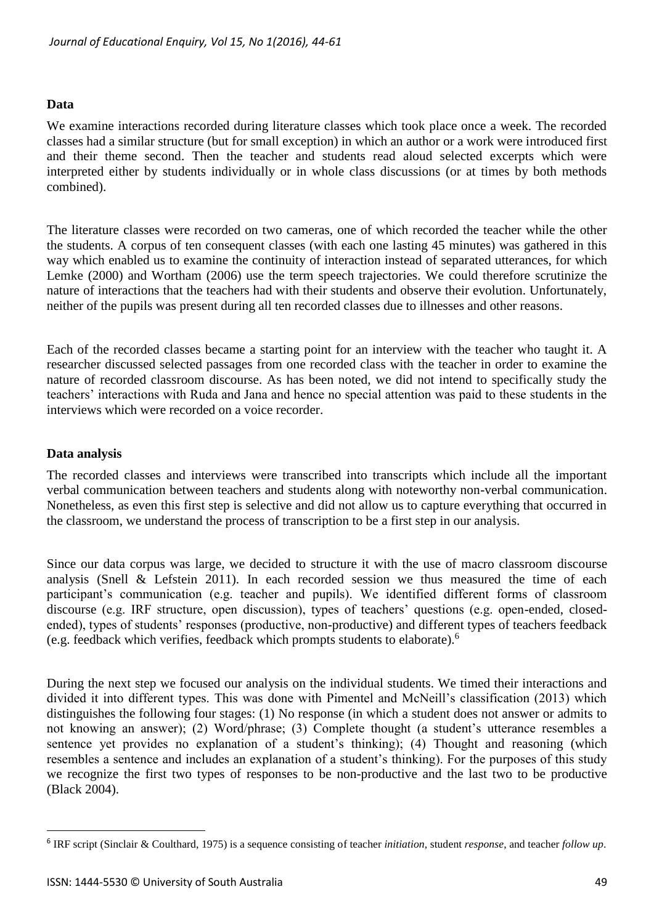#### **Data**

We examine interactions recorded during literature classes which took place once a week. The recorded classes had a similar structure (but for small exception) in which an author or a work were introduced first and their theme second. Then the teacher and students read aloud selected excerpts which were interpreted either by students individually or in whole class discussions (or at times by both methods combined).

The literature classes were recorded on two cameras, one of which recorded the teacher while the other the students. A corpus of ten consequent classes (with each one lasting 45 minutes) was gathered in this way which enabled us to examine the continuity of interaction instead of separated utterances, for which Lemke (2000) and Wortham (2006) use the term speech trajectories. We could therefore scrutinize the nature of interactions that the teachers had with their students and observe their evolution. Unfortunately, neither of the pupils was present during all ten recorded classes due to illnesses and other reasons.

Each of the recorded classes became a starting point for an interview with the teacher who taught it. A researcher discussed selected passages from one recorded class with the teacher in order to examine the nature of recorded classroom discourse. As has been noted, we did not intend to specifically study the teachers' interactions with Ruda and Jana and hence no special attention was paid to these students in the interviews which were recorded on a voice recorder.

#### **Data analysis**

 $\overline{a}$ 

The recorded classes and interviews were transcribed into transcripts which include all the important verbal communication between teachers and students along with noteworthy non-verbal communication. Nonetheless, as even this first step is selective and did not allow us to capture everything that occurred in the classroom, we understand the process of transcription to be a first step in our analysis.

Since our data corpus was large, we decided to structure it with the use of macro classroom discourse analysis (Snell & Lefstein 2011). In each recorded session we thus measured the time of each participant's communication (e.g. teacher and pupils). We identified different forms of classroom discourse (e.g. IRF structure, open discussion), types of teachers' questions (e.g. open-ended, closedended), types of students' responses (productive, non-productive) and different types of teachers feedback (e.g. feedback which verifies, feedback which prompts students to elaborate).<sup>6</sup>

During the next step we focused our analysis on the individual students. We timed their interactions and divided it into different types. This was done with Pimentel and McNeill's classification (2013) which distinguishes the following four stages: (1) No response (in which a student does not answer or admits to not knowing an answer); (2) Word/phrase; (3) Complete thought (a student's utterance resembles a sentence yet provides no explanation of a student's thinking); (4) Thought and reasoning (which resembles a sentence and includes an explanation of a student's thinking). For the purposes of this study we recognize the first two types of responses to be non-productive and the last two to be productive (Black 2004).

<sup>6</sup> IRF script (Sinclair & Coulthard, 1975) is a sequence consisting of teacher *initiation*, student *response*, and teacher *follow up*.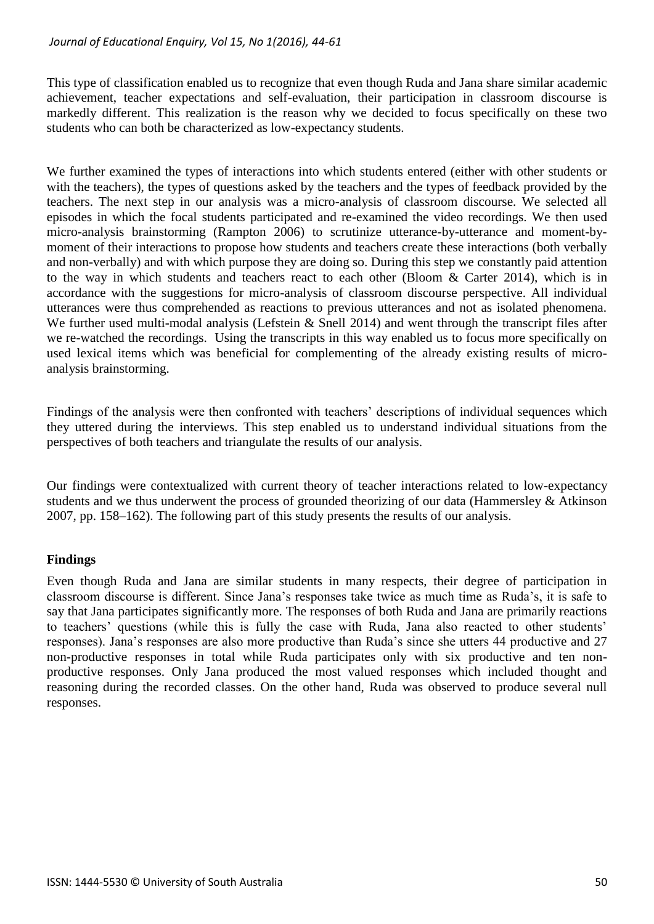This type of classification enabled us to recognize that even though Ruda and Jana share similar academic achievement, teacher expectations and self-evaluation, their participation in classroom discourse is markedly different. This realization is the reason why we decided to focus specifically on these two students who can both be characterized as low-expectancy students.

We further examined the types of interactions into which students entered (either with other students or with the teachers), the types of questions asked by the teachers and the types of feedback provided by the teachers. The next step in our analysis was a micro-analysis of classroom discourse. We selected all episodes in which the focal students participated and re-examined the video recordings. We then used micro-analysis brainstorming (Rampton 2006) to scrutinize utterance-by-utterance and moment-bymoment of their interactions to propose how students and teachers create these interactions (both verbally and non-verbally) and with which purpose they are doing so. During this step we constantly paid attention to the way in which students and teachers react to each other (Bloom & Carter 2014), which is in accordance with the suggestions for micro-analysis of classroom discourse perspective. All individual utterances were thus comprehended as reactions to previous utterances and not as isolated phenomena. We further used multi-modal analysis (Lefstein & Snell 2014) and went through the transcript files after we re-watched the recordings. Using the transcripts in this way enabled us to focus more specifically on used lexical items which was beneficial for complementing of the already existing results of microanalysis brainstorming.

Findings of the analysis were then confronted with teachers' descriptions of individual sequences which they uttered during the interviews. This step enabled us to understand individual situations from the perspectives of both teachers and triangulate the results of our analysis.

Our findings were contextualized with current theory of teacher interactions related to low-expectancy students and we thus underwent the process of grounded theorizing of our data (Hammersley & Atkinson 2007, pp. 158–162). The following part of this study presents the results of our analysis.

# **Findings**

Even though Ruda and Jana are similar students in many respects, their degree of participation in classroom discourse is different. Since Jana's responses take twice as much time as Ruda's, it is safe to say that Jana participates significantly more. The responses of both Ruda and Jana are primarily reactions to teachers' questions (while this is fully the case with Ruda, Jana also reacted to other students' responses). Jana's responses are also more productive than Ruda's since she utters 44 productive and 27 non-productive responses in total while Ruda participates only with six productive and ten nonproductive responses. Only Jana produced the most valued responses which included thought and reasoning during the recorded classes. On the other hand, Ruda was observed to produce several null responses.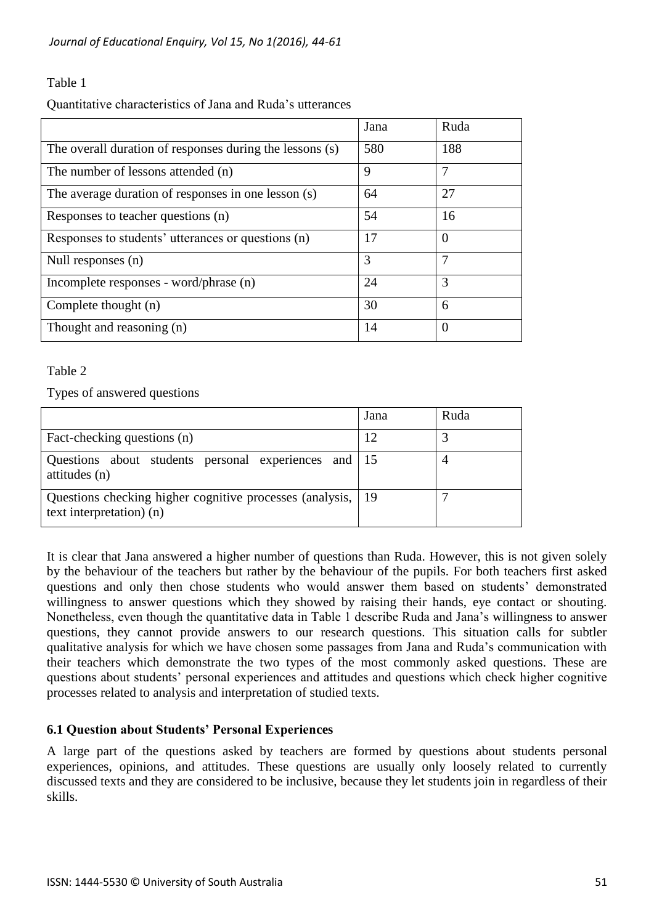# Table 1

Quantitative characteristics of Jana and Ruda's utterances

|                                                          | Jana | Ruda     |
|----------------------------------------------------------|------|----------|
| The overall duration of responses during the lessons (s) | 580  | 188      |
| The number of lessons attended (n)                       | 9    | 7        |
| The average duration of responses in one lesson (s)      | 64   | 27       |
| Responses to teacher questions (n)                       | 54   | 16       |
| Responses to students' utterances or questions (n)       | 17   | $\Omega$ |
| Null responses (n)                                       | 3    | 7        |
| Incomplete responses - word/phrase (n)                   | 24   | 3        |
| Complete thought (n)                                     | 30   | 6        |
| Thought and reasoning (n)                                | 14   | $\theta$ |

### Table 2

Types of answered questions

|                                                                                           | Jana | Ruda |
|-------------------------------------------------------------------------------------------|------|------|
| Fact-checking questions (n)                                                               |      |      |
| Questions about students personal experiences and 15<br>attitudes (n)                     |      |      |
| Questions checking higher cognitive processes (analysis, 19<br>text interpretation) $(n)$ |      |      |

It is clear that Jana answered a higher number of questions than Ruda. However, this is not given solely by the behaviour of the teachers but rather by the behaviour of the pupils. For both teachers first asked questions and only then chose students who would answer them based on students' demonstrated willingness to answer questions which they showed by raising their hands, eye contact or shouting. Nonetheless, even though the quantitative data in Table 1 describe Ruda and Jana's willingness to answer questions, they cannot provide answers to our research questions. This situation calls for subtler qualitative analysis for which we have chosen some passages from Jana and Ruda's communication with their teachers which demonstrate the two types of the most commonly asked questions. These are questions about students' personal experiences and attitudes and questions which check higher cognitive processes related to analysis and interpretation of studied texts.

## **6.1 Question about Students' Personal Experiences**

A large part of the questions asked by teachers are formed by questions about students personal experiences, opinions, and attitudes. These questions are usually only loosely related to currently discussed texts and they are considered to be inclusive, because they let students join in regardless of their skills.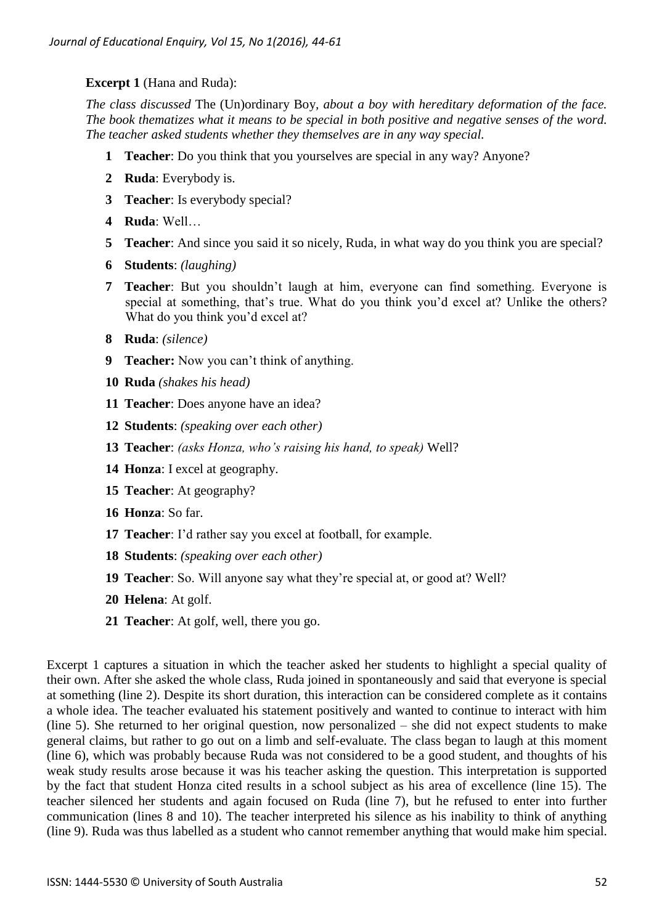## **Excerpt 1** (Hana and Ruda):

*The class discussed* The (Un)ordinary Boy*, about a boy with hereditary deformation of the face. The book thematizes what it means to be special in both positive and negative senses of the word. The teacher asked students whether they themselves are in any way special.*

- **1 Teacher**: Do you think that you yourselves are special in any way? Anyone?
- **2 Ruda**: Everybody is.
- **3 Teacher**: Is everybody special?
- **4 Ruda**: Well…
- **5 Teacher**: And since you said it so nicely, Ruda, in what way do you think you are special?
- **6 Students**: *(laughing)*
- **7 Teacher**: But you shouldn't laugh at him, everyone can find something. Everyone is special at something, that's true. What do you think you'd excel at? Unlike the others? What do you think you'd excel at?
- **8 Ruda**: *(silence)*
- **9 Teacher:** Now you can't think of anything.
- **10 Ruda** *(shakes his head)*
- **11 Teacher**: Does anyone have an idea?
- **12 Students**: *(speaking over each other)*
- **13 Teacher**: *(asks Honza, who's raising his hand, to speak)* Well?
- **14 Honza**: I excel at geography.
- **15 Teacher**: At geography?
- **16 Honza**: So far.
- **17 Teacher**: I'd rather say you excel at football, for example.
- **18 Students**: *(speaking over each other)*
- **19 Teacher**: So. Will anyone say what they're special at, or good at? Well?
- **20 Helena**: At golf.
- **21 Teacher**: At golf, well, there you go.

Excerpt 1 captures a situation in which the teacher asked her students to highlight a special quality of their own. After she asked the whole class, Ruda joined in spontaneously and said that everyone is special at something (line 2). Despite its short duration, this interaction can be considered complete as it contains a whole idea. The teacher evaluated his statement positively and wanted to continue to interact with him (line 5). She returned to her original question, now personalized – she did not expect students to make general claims, but rather to go out on a limb and self-evaluate. The class began to laugh at this moment (line 6), which was probably because Ruda was not considered to be a good student, and thoughts of his weak study results arose because it was his teacher asking the question. This interpretation is supported by the fact that student Honza cited results in a school subject as his area of excellence (line 15). The teacher silenced her students and again focused on Ruda (line 7), but he refused to enter into further communication (lines 8 and 10). The teacher interpreted his silence as his inability to think of anything (line 9). Ruda was thus labelled as a student who cannot remember anything that would make him special.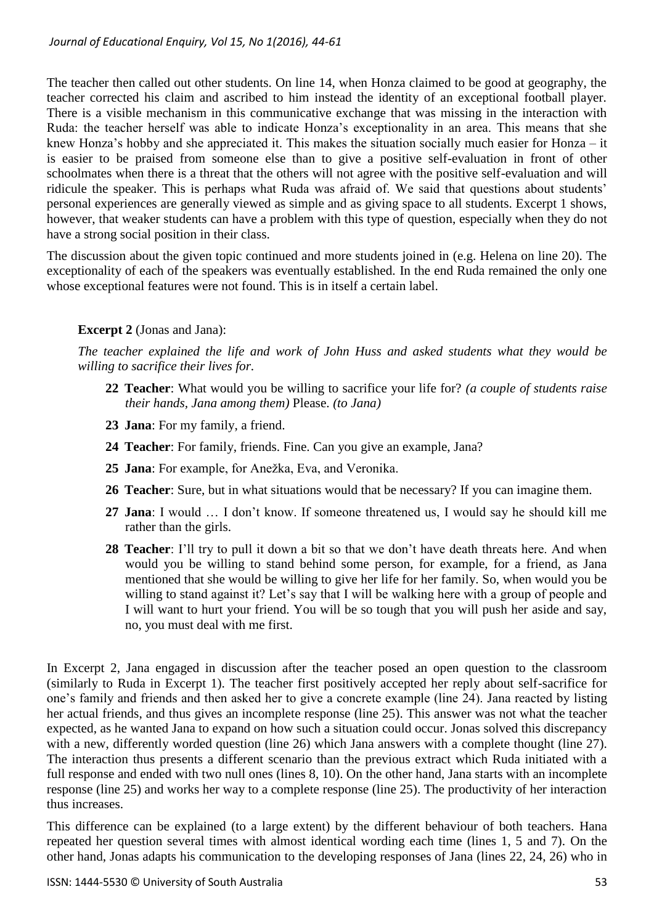The teacher then called out other students. On line 14, when Honza claimed to be good at geography, the teacher corrected his claim and ascribed to him instead the identity of an exceptional football player. There is a visible mechanism in this communicative exchange that was missing in the interaction with Ruda: the teacher herself was able to indicate Honza's exceptionality in an area. This means that she knew Honza's hobby and she appreciated it. This makes the situation socially much easier for Honza – it is easier to be praised from someone else than to give a positive self-evaluation in front of other schoolmates when there is a threat that the others will not agree with the positive self-evaluation and will ridicule the speaker. This is perhaps what Ruda was afraid of. We said that questions about students' personal experiences are generally viewed as simple and as giving space to all students. Excerpt 1 shows, however, that weaker students can have a problem with this type of question, especially when they do not have a strong social position in their class.

The discussion about the given topic continued and more students joined in (e.g. Helena on line 20). The exceptionality of each of the speakers was eventually established. In the end Ruda remained the only one whose exceptional features were not found. This is in itself a certain label.

# **Excerpt 2** (Jonas and Jana):

*The teacher explained the life and work of John Huss and asked students what they would be willing to sacrifice their lives for.*

- **22 Teacher**: What would you be willing to sacrifice your life for? *(a couple of students raise their hands, Jana among them)* Please. *(to Jana)*
- **23 Jana**: For my family, a friend.
- **24 Teacher**: For family, friends. Fine. Can you give an example, Jana?
- **25 Jana**: For example, for Anežka, Eva, and Veronika.
- **26 Teacher**: Sure, but in what situations would that be necessary? If you can imagine them.
- **27 Jana**: I would … I don't know. If someone threatened us, I would say he should kill me rather than the girls.
- **28 Teacher**: I'll try to pull it down a bit so that we don't have death threats here. And when would you be willing to stand behind some person, for example, for a friend, as Jana mentioned that she would be willing to give her life for her family. So, when would you be willing to stand against it? Let's say that I will be walking here with a group of people and I will want to hurt your friend. You will be so tough that you will push her aside and say, no, you must deal with me first.

In Excerpt 2, Jana engaged in discussion after the teacher posed an open question to the classroom (similarly to Ruda in Excerpt 1). The teacher first positively accepted her reply about self-sacrifice for one's family and friends and then asked her to give a concrete example (line 24). Jana reacted by listing her actual friends, and thus gives an incomplete response (line 25). This answer was not what the teacher expected, as he wanted Jana to expand on how such a situation could occur. Jonas solved this discrepancy with a new, differently worded question (line 26) which Jana answers with a complete thought (line 27). The interaction thus presents a different scenario than the previous extract which Ruda initiated with a full response and ended with two null ones (lines 8, 10). On the other hand, Jana starts with an incomplete response (line 25) and works her way to a complete response (line 25). The productivity of her interaction thus increases.

This difference can be explained (to a large extent) by the different behaviour of both teachers. Hana repeated her question several times with almost identical wording each time (lines 1, 5 and 7). On the other hand, Jonas adapts his communication to the developing responses of Jana (lines 22, 24, 26) who in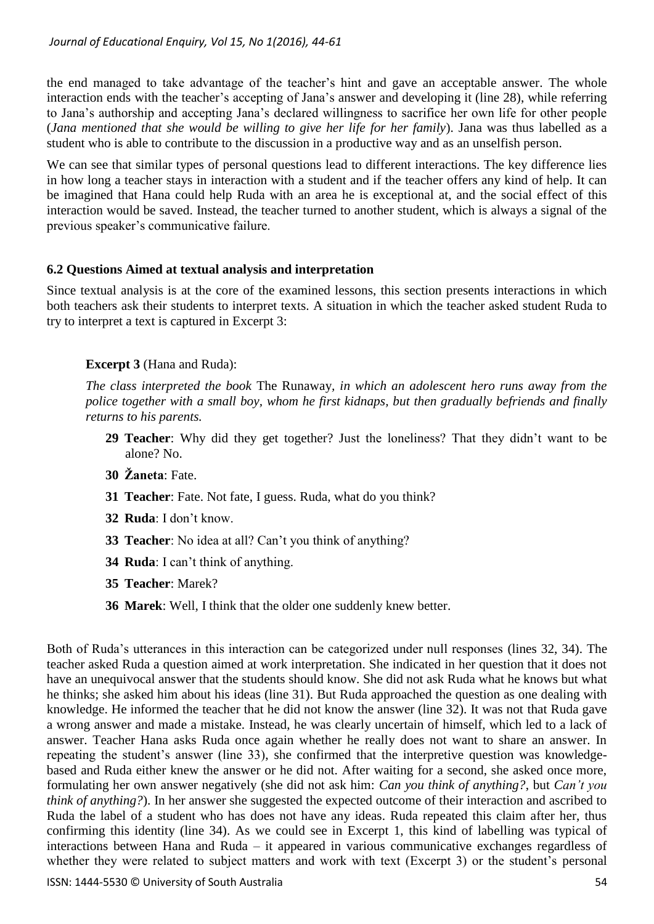the end managed to take advantage of the teacher's hint and gave an acceptable answer. The whole interaction ends with the teacher's accepting of Jana's answer and developing it (line 28), while referring to Jana's authorship and accepting Jana's declared willingness to sacrifice her own life for other people (*Jana mentioned that she would be willing to give her life for her family*). Jana was thus labelled as a student who is able to contribute to the discussion in a productive way and as an unselfish person.

We can see that similar types of personal questions lead to different interactions. The key difference lies in how long a teacher stays in interaction with a student and if the teacher offers any kind of help. It can be imagined that Hana could help Ruda with an area he is exceptional at, and the social effect of this interaction would be saved. Instead, the teacher turned to another student, which is always a signal of the previous speaker's communicative failure.

### **6.2 Questions Aimed at textual analysis and interpretation**

Since textual analysis is at the core of the examined lessons, this section presents interactions in which both teachers ask their students to interpret texts. A situation in which the teacher asked student Ruda to try to interpret a text is captured in Excerpt 3:

### **Excerpt 3** (Hana and Ruda):

*The class interpreted the book* The Runaway*, in which an adolescent hero runs away from the police together with a small boy, whom he first kidnaps, but then gradually befriends and finally returns to his parents.*

- **29 Teacher**: Why did they get together? Just the loneliness? That they didn't want to be alone? No.
- **30 Žaneta**: Fate.
- **31 Teacher**: Fate. Not fate, I guess. Ruda, what do you think?
- **32 Ruda**: I don't know.
- **33 Teacher**: No idea at all? Can't you think of anything?
- **34 Ruda**: I can't think of anything.
- **35 Teacher**: Marek?
- **36 Marek**: Well, I think that the older one suddenly knew better.

Both of Ruda's utterances in this interaction can be categorized under null responses (lines 32, 34). The teacher asked Ruda a question aimed at work interpretation. She indicated in her question that it does not have an unequivocal answer that the students should know. She did not ask Ruda what he knows but what he thinks; she asked him about his ideas (line 31). But Ruda approached the question as one dealing with knowledge. He informed the teacher that he did not know the answer (line 32). It was not that Ruda gave a wrong answer and made a mistake. Instead, he was clearly uncertain of himself, which led to a lack of answer. Teacher Hana asks Ruda once again whether he really does not want to share an answer. In repeating the student's answer (line 33), she confirmed that the interpretive question was knowledgebased and Ruda either knew the answer or he did not. After waiting for a second, she asked once more, formulating her own answer negatively (she did not ask him: *Can you think of anything?*, but *Can't you think of anything?*). In her answer she suggested the expected outcome of their interaction and ascribed to Ruda the label of a student who has does not have any ideas. Ruda repeated this claim after her, thus confirming this identity (line 34). As we could see in Excerpt 1, this kind of labelling was typical of interactions between Hana and Ruda – it appeared in various communicative exchanges regardless of whether they were related to subject matters and work with text (Excerpt 3) or the student's personal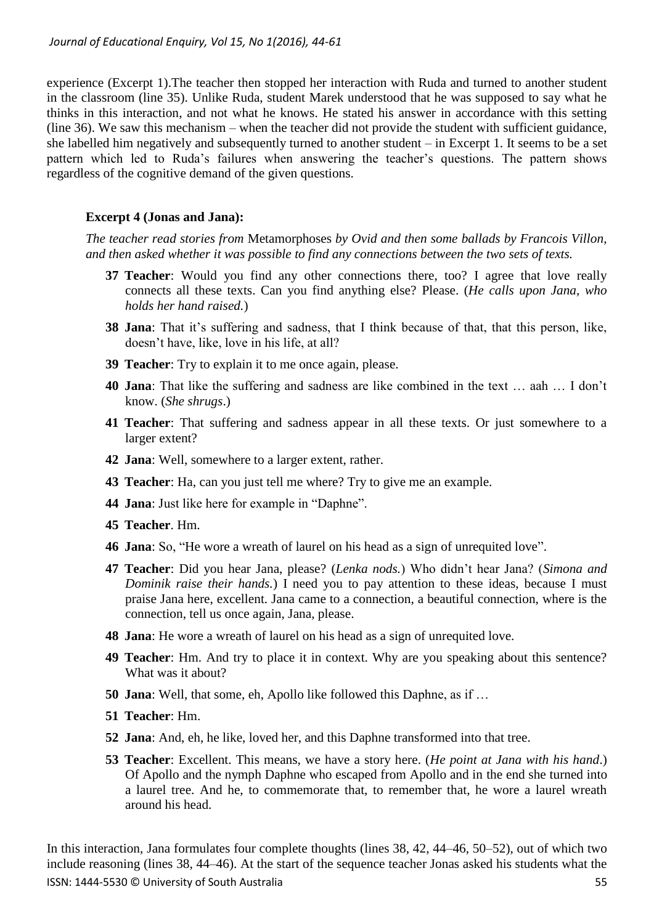experience (Excerpt 1).The teacher then stopped her interaction with Ruda and turned to another student in the classroom (line 35). Unlike Ruda, student Marek understood that he was supposed to say what he thinks in this interaction, and not what he knows. He stated his answer in accordance with this setting (line 36). We saw this mechanism – when the teacher did not provide the student with sufficient guidance, she labelled him negatively and subsequently turned to another student – in Excerpt 1. It seems to be a set pattern which led to Ruda's failures when answering the teacher's questions. The pattern shows regardless of the cognitive demand of the given questions.

## **Excerpt 4 (Jonas and Jana):**

*The teacher read stories from* Metamorphoses *by Ovid and then some ballads by Francois Villon, and then asked whether it was possible to find any connections between the two sets of texts.*

- **37 Teacher**: Would you find any other connections there, too? I agree that love really connects all these texts. Can you find anything else? Please. (*He calls upon Jana, who holds her hand raised.*)
- **38 Jana**: That it's suffering and sadness, that I think because of that, that this person, like, doesn't have, like, love in his life, at all?
- **39 Teacher**: Try to explain it to me once again, please.
- **40 Jana**: That like the suffering and sadness are like combined in the text … aah … I don't know. (*She shrugs*.)
- **41 Teacher**: That suffering and sadness appear in all these texts. Or just somewhere to a larger extent?
- **42 Jana**: Well, somewhere to a larger extent, rather.
- **43 Teacher**: Ha, can you just tell me where? Try to give me an example.
- **44 Jana**: Just like here for example in "Daphne".
- **45 Teacher**. Hm.
- **46 Jana**: So, "He wore a wreath of laurel on his head as a sign of unrequited love".
- **47 Teacher**: Did you hear Jana, please? (*Lenka nods.*) Who didn't hear Jana? (*Simona and Dominik raise their hands.*) I need you to pay attention to these ideas, because I must praise Jana here, excellent. Jana came to a connection, a beautiful connection, where is the connection, tell us once again, Jana, please.
- **48 Jana**: He wore a wreath of laurel on his head as a sign of unrequited love.
- **49 Teacher**: Hm. And try to place it in context. Why are you speaking about this sentence? What was it about?
- **50 Jana**: Well, that some, eh, Apollo like followed this Daphne, as if …
- **51 Teacher**: Hm.
- **52 Jana**: And, eh, he like, loved her, and this Daphne transformed into that tree.
- **53 Teacher**: Excellent. This means, we have a story here. (*He point at Jana with his hand*.) Of Apollo and the nymph Daphne who escaped from Apollo and in the end she turned into a laurel tree. And he, to commemorate that, to remember that, he wore a laurel wreath around his head.

ISSN: 1444-5530 © University of South Australia 55 In this interaction, Jana formulates four complete thoughts (lines 38, 42, 44–46, 50–52), out of which two include reasoning (lines 38, 44–46). At the start of the sequence teacher Jonas asked his students what the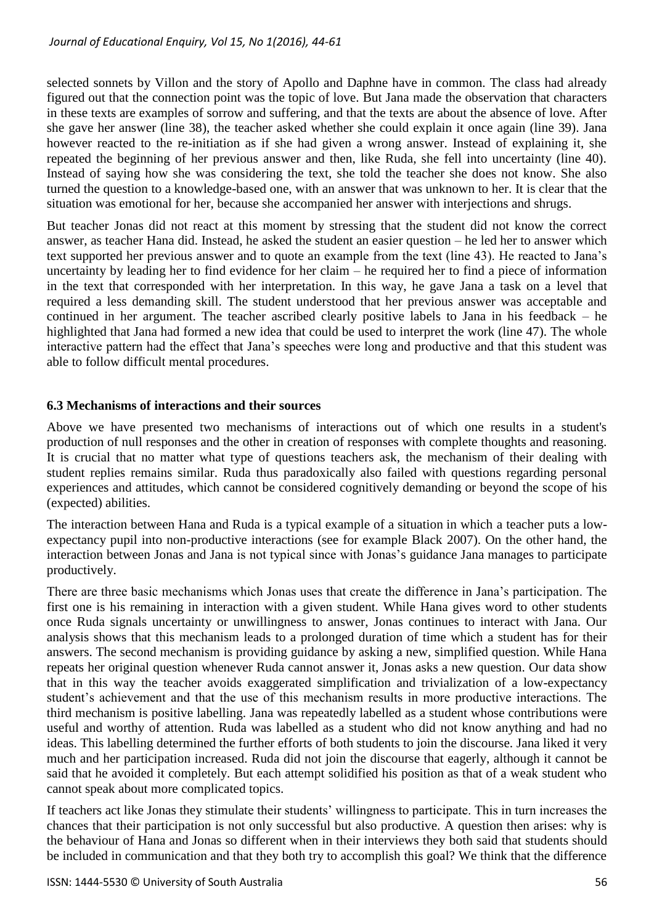selected sonnets by Villon and the story of Apollo and Daphne have in common. The class had already figured out that the connection point was the topic of love. But Jana made the observation that characters in these texts are examples of sorrow and suffering, and that the texts are about the absence of love. After she gave her answer (line 38), the teacher asked whether she could explain it once again (line 39). Jana however reacted to the re-initiation as if she had given a wrong answer. Instead of explaining it, she repeated the beginning of her previous answer and then, like Ruda, she fell into uncertainty (line 40). Instead of saying how she was considering the text, she told the teacher she does not know. She also turned the question to a knowledge-based one, with an answer that was unknown to her. It is clear that the situation was emotional for her, because she accompanied her answer with interjections and shrugs.

But teacher Jonas did not react at this moment by stressing that the student did not know the correct answer, as teacher Hana did. Instead, he asked the student an easier question – he led her to answer which text supported her previous answer and to quote an example from the text (line 43). He reacted to Jana's uncertainty by leading her to find evidence for her claim – he required her to find a piece of information in the text that corresponded with her interpretation. In this way, he gave Jana a task on a level that required a less demanding skill. The student understood that her previous answer was acceptable and continued in her argument. The teacher ascribed clearly positive labels to Jana in his feedback – he highlighted that Jana had formed a new idea that could be used to interpret the work (line 47). The whole interactive pattern had the effect that Jana's speeches were long and productive and that this student was able to follow difficult mental procedures.

# **6.3 Mechanisms of interactions and their sources**

Above we have presented two mechanisms of interactions out of which one results in a student's production of null responses and the other in creation of responses with complete thoughts and reasoning. It is crucial that no matter what type of questions teachers ask, the mechanism of their dealing with student replies remains similar. Ruda thus paradoxically also failed with questions regarding personal experiences and attitudes, which cannot be considered cognitively demanding or beyond the scope of his (expected) abilities.

The interaction between Hana and Ruda is a typical example of a situation in which a teacher puts a lowexpectancy pupil into non-productive interactions (see for example Black 2007). On the other hand, the interaction between Jonas and Jana is not typical since with Jonas's guidance Jana manages to participate productively.

There are three basic mechanisms which Jonas uses that create the difference in Jana's participation. The first one is his remaining in interaction with a given student. While Hana gives word to other students once Ruda signals uncertainty or unwillingness to answer, Jonas continues to interact with Jana. Our analysis shows that this mechanism leads to a prolonged duration of time which a student has for their answers. The second mechanism is providing guidance by asking a new, simplified question. While Hana repeats her original question whenever Ruda cannot answer it, Jonas asks a new question. Our data show that in this way the teacher avoids exaggerated simplification and trivialization of a low-expectancy student's achievement and that the use of this mechanism results in more productive interactions. The third mechanism is positive labelling. Jana was repeatedly labelled as a student whose contributions were useful and worthy of attention. Ruda was labelled as a student who did not know anything and had no ideas. This labelling determined the further efforts of both students to join the discourse. Jana liked it very much and her participation increased. Ruda did not join the discourse that eagerly, although it cannot be said that he avoided it completely. But each attempt solidified his position as that of a weak student who cannot speak about more complicated topics.

If teachers act like Jonas they stimulate their students' willingness to participate. This in turn increases the chances that their participation is not only successful but also productive. A question then arises: why is the behaviour of Hana and Jonas so different when in their interviews they both said that students should be included in communication and that they both try to accomplish this goal? We think that the difference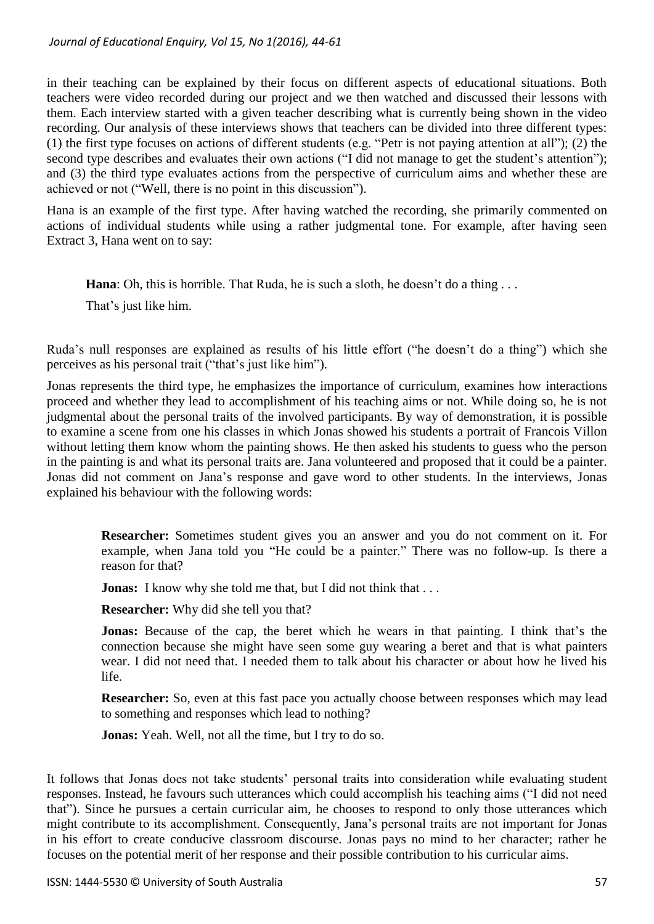in their teaching can be explained by their focus on different aspects of educational situations. Both teachers were video recorded during our project and we then watched and discussed their lessons with them. Each interview started with a given teacher describing what is currently being shown in the video recording. Our analysis of these interviews shows that teachers can be divided into three different types: (1) the first type focuses on actions of different students (e.g. "Petr is not paying attention at all"); (2) the second type describes and evaluates their own actions ("I did not manage to get the student's attention"); and (3) the third type evaluates actions from the perspective of curriculum aims and whether these are achieved or not ("Well, there is no point in this discussion").

Hana is an example of the first type. After having watched the recording, she primarily commented on actions of individual students while using a rather judgmental tone. For example, after having seen Extract 3, Hana went on to say:

**Hana**: Oh, this is horrible. That Ruda, he is such a sloth, he doesn't do a thing ...

That's just like him.

Ruda's null responses are explained as results of his little effort ("he doesn't do a thing") which she perceives as his personal trait ("that's just like him").

Jonas represents the third type, he emphasizes the importance of curriculum, examines how interactions proceed and whether they lead to accomplishment of his teaching aims or not. While doing so, he is not judgmental about the personal traits of the involved participants. By way of demonstration, it is possible to examine a scene from one his classes in which Jonas showed his students a portrait of Francois Villon without letting them know whom the painting shows. He then asked his students to guess who the person in the painting is and what its personal traits are. Jana volunteered and proposed that it could be a painter. Jonas did not comment on Jana's response and gave word to other students. In the interviews, Jonas explained his behaviour with the following words:

**Researcher:** Sometimes student gives you an answer and you do not comment on it. For example, when Jana told you "He could be a painter." There was no follow-up. Is there a reason for that?

**Jonas:** I know why she told me that, but I did not think that . . .

**Researcher:** Why did she tell you that?

**Jonas:** Because of the cap, the beret which he wears in that painting. I think that's the connection because she might have seen some guy wearing a beret and that is what painters wear. I did not need that. I needed them to talk about his character or about how he lived his life.

**Researcher:** So, even at this fast pace you actually choose between responses which may lead to something and responses which lead to nothing?

**Jonas:** Yeah. Well, not all the time, but I try to do so.

It follows that Jonas does not take students' personal traits into consideration while evaluating student responses. Instead, he favours such utterances which could accomplish his teaching aims ("I did not need that"). Since he pursues a certain curricular aim, he chooses to respond to only those utterances which might contribute to its accomplishment. Consequently, Jana's personal traits are not important for Jonas in his effort to create conducive classroom discourse. Jonas pays no mind to her character; rather he focuses on the potential merit of her response and their possible contribution to his curricular aims.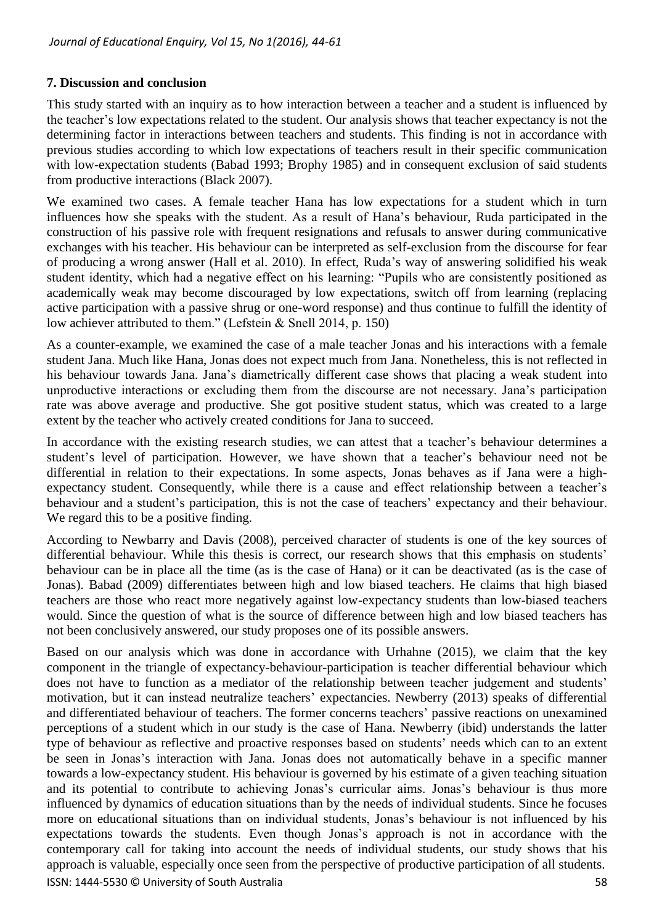## **7. Discussion and conclusion**

This study started with an inquiry as to how interaction between a teacher and a student is influenced by the teacher's low expectations related to the student. Our analysis shows that teacher expectancy is not the determining factor in interactions between teachers and students. This finding is not in accordance with previous studies according to which low expectations of teachers result in their specific communication with low-expectation students (Babad 1993; Brophy 1985) and in consequent exclusion of said students from productive interactions (Black 2007).

We examined two cases. A female teacher Hana has low expectations for a student which in turn influences how she speaks with the student. As a result of Hana's behaviour, Ruda participated in the construction of his passive role with frequent resignations and refusals to answer during communicative exchanges with his teacher. His behaviour can be interpreted as self-exclusion from the discourse for fear of producing a wrong answer (Hall et al. 2010). In effect, Ruda's way of answering solidified his weak student identity, which had a negative effect on his learning: "Pupils who are consistently positioned as academically weak may become discouraged by low expectations, switch off from learning (replacing active participation with a passive shrug or one-word response) and thus continue to fulfill the identity of low achiever attributed to them." (Lefstein & Snell 2014, p. 150)

As a counter-example, we examined the case of a male teacher Jonas and his interactions with a female student Jana. Much like Hana, Jonas does not expect much from Jana. Nonetheless, this is not reflected in his behaviour towards Jana. Jana's diametrically different case shows that placing a weak student into unproductive interactions or excluding them from the discourse are not necessary. Jana's participation rate was above average and productive. She got positive student status, which was created to a large extent by the teacher who actively created conditions for Jana to succeed.

In accordance with the existing research studies, we can attest that a teacher's behaviour determines a student's level of participation. However, we have shown that a teacher's behaviour need not be differential in relation to their expectations. In some aspects, Jonas behaves as if Jana were a highexpectancy student. Consequently, while there is a cause and effect relationship between a teacher's behaviour and a student's participation, this is not the case of teachers' expectancy and their behaviour. We regard this to be a positive finding.

According to Newbarry and Davis (2008), perceived character of students is one of the key sources of differential behaviour. While this thesis is correct, our research shows that this emphasis on students' behaviour can be in place all the time (as is the case of Hana) or it can be deactivated (as is the case of Jonas). Babad (2009) differentiates between high and low biased teachers. He claims that high biased teachers are those who react more negatively against low-expectancy students than low-biased teachers would. Since the question of what is the source of difference between high and low biased teachers has not been conclusively answered, our study proposes one of its possible answers.

ISSN: 1444-5530 © University of South Australia 58 Based on our analysis which was done in accordance with Urhahne (2015), we claim that the key component in the triangle of expectancy-behaviour-participation is teacher differential behaviour which does not have to function as a mediator of the relationship between teacher judgement and students' motivation, but it can instead neutralize teachers' expectancies. Newberry (2013) speaks of differential and differentiated behaviour of teachers. The former concerns teachers' passive reactions on unexamined perceptions of a student which in our study is the case of Hana. Newberry (ibid) understands the latter type of behaviour as reflective and proactive responses based on students' needs which can to an extent be seen in Jonas's interaction with Jana. Jonas does not automatically behave in a specific manner towards a low-expectancy student. His behaviour is governed by his estimate of a given teaching situation and its potential to contribute to achieving Jonas's curricular aims. Jonas's behaviour is thus more influenced by dynamics of education situations than by the needs of individual students. Since he focuses more on educational situations than on individual students, Jonas's behaviour is not influenced by his expectations towards the students. Even though Jonas's approach is not in accordance with the contemporary call for taking into account the needs of individual students, our study shows that his approach is valuable, especially once seen from the perspective of productive participation of all students.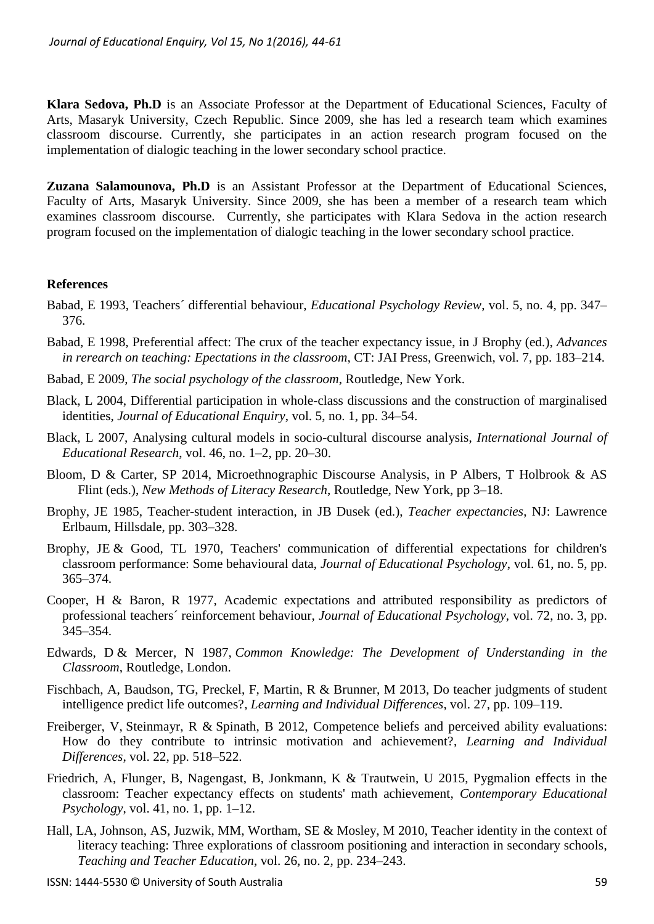**Klara Sedova, Ph.D** is an Associate Professor at the Department of Educational Sciences, Faculty of Arts, Masaryk University, Czech Republic. Since 2009, she has led a research team which examines classroom discourse. Currently, she participates in an action research program focused on the implementation of dialogic teaching in the lower secondary school practice.

**Zuzana Salamounova, Ph.D** is an Assistant Professor at the Department of Educational Sciences, Faculty of Arts, Masaryk University. Since 2009, she has been a member of a research team which examines classroom discourse. Currently, she participates with Klara Sedova in the action research program focused on the implementation of dialogic teaching in the lower secondary school practice.

### **References**

- Babad, E 1993, Teachers´ differential behaviour, *Educational Psychology Review*, vol. 5, no. 4, pp. 347– 376.
- Babad, E 1998, Preferential affect: The crux of the teacher expectancy issue, in J Brophy (ed.), *Advances in rerearch on teaching: Epectations in the classroom*, CT: JAI Press, Greenwich, vol. 7, pp. 183–214.
- Babad, E 2009, *The social psychology of the classroom*, Routledge, New York.
- Black, L 2004, Differential participation in whole-class discussions and the construction of marginalised identities, *Journal of Educational Enquiry*, vol. 5, no. 1, pp. 34–54.
- Black, L 2007, Analysing cultural models in socio-cultural discourse analysis, *International Journal of Educational Research*, vol. 46, no. 1–2, pp. 20–30.
- Bloom, D & Carter, SP 2014, Microethnographic Discourse Analysis, in P Albers, T Holbrook & AS Flint (eds.), *New Methods of Literacy Research*, Routledge, New York, pp 3–18.
- [Brophy, JE](http://www-scopus-com.ezproxy.muni.cz/authid/detail.url?authorId=7103048086&eid=2-s2.0-58149414127) 1985, Teacher-student interaction, in JB Dusek (ed.), *Teacher expectancies*, NJ: Lawrence Erlbaum, Hillsdale, pp. 303–328.
- [Brophy, JE](http://www-scopus-com.ezproxy.muni.cz/authid/detail.url?authorId=7103048086&eid=2-s2.0-58149414127) & [Good, TL](http://www-scopus-com.ezproxy.muni.cz/authid/detail.url?authorId=7005251649&eid=2-s2.0-58149414127) 1970, Teachers' communication of differential expectations for children's classroom performance: Some behavioural data, *[Journal of Educational Psychology](http://www-scopus-com.ezproxy.muni.cz/source/sourceInfo.url?sourceId=12808&origin=recordpage)*, vol. 61, no. 5, pp. 365–374.
- Cooper, H & Baron, R 1977, Academic expectations and attributed responsibility as predictors of professional teachers´ reinforcement behaviour, *Journal of Educational Psychology*, vol. 72, no. 3, pp. 345–354.
- Edwards, D & Mercer, N 1987, *Common Knowledge: The Development of Understanding in the Classroom*, Routledge, London.
- [Fischbach, A,](http://www-scopus-com.ezproxy.muni.cz/authid/detail.url?origin=resultslist&authorId=36657330400&zone=) [Baudson, TG,](http://www-scopus-com.ezproxy.muni.cz/authid/detail.url?origin=resultslist&authorId=55630667600&zone=) [Preckel, F,](http://www-scopus-com.ezproxy.muni.cz/authid/detail.url?origin=resultslist&authorId=55881394700&zone=) [Martin, R](http://www-scopus-com.ezproxy.muni.cz/authid/detail.url?origin=resultslist&authorId=7501384912&zone=) & [Brunner, M](http://www-scopus-com.ezproxy.muni.cz/authid/detail.url?origin=resultslist&authorId=23096886200&zone=) 2013, [Do teacher judgments of student](http://www-scopus-com.ezproxy.muni.cz/record/display.url?eid=2-s2.0-84882732231&origin=resultslist&sort=plf-f&src=s&st1=do+teacher+judgements+of+student+intelligence&st2=&sid=C59E7A4A08A4317600CC8DD4F6F220C9.kqQeWtawXauCyC8ghhRGJg%3a410&sot=b&sdt=b&sl=52&s=TITLE%28do+teacher+judgements+of+student+intelligence%29&relpos=0&relpos=0&citeCnt=0&searchTerm=TITLE%28do+teacher+judgements+of+student+intelligence%29)  [intelligence predict life outcomes?,](http://www-scopus-com.ezproxy.muni.cz/record/display.url?eid=2-s2.0-84882732231&origin=resultslist&sort=plf-f&src=s&st1=do+teacher+judgements+of+student+intelligence&st2=&sid=C59E7A4A08A4317600CC8DD4F6F220C9.kqQeWtawXauCyC8ghhRGJg%3a410&sot=b&sdt=b&sl=52&s=TITLE%28do+teacher+judgements+of+student+intelligence%29&relpos=0&relpos=0&citeCnt=0&searchTerm=TITLE%28do+teacher+judgements+of+student+intelligence%29) *[Learning and Individual Differences](http://www-scopus-com.ezproxy.muni.cz/source/sourceInfo.url?sourceId=13453&origin=resultslist)*, vol. 27, pp. 109–119.
- Freiberger, V, Steinmayr, R & Spinath, B 2012, [Competence beliefs and perceived ability evaluations:](http://www-scopus-com.ezproxy.muni.cz/record/display.url?eid=2-s2.0-84861780694&origin=reflist&sort=plf-f&src=s&st1=pygmalion+effects+in+the+classroom&st2=&sid=C59E7A4A08A4317600CC8DD4F6F220C9.kqQeWtawXauCyC8ghhRGJg%3a570&sot=b&sdt=b&sl=41&s=TITLE%28pygmalion+effects+in+the+classroom%29)  [How do they contribute to intrinsic motivation and achievement?,](http://www-scopus-com.ezproxy.muni.cz/record/display.url?eid=2-s2.0-84861780694&origin=reflist&sort=plf-f&src=s&st1=pygmalion+effects+in+the+classroom&st2=&sid=C59E7A4A08A4317600CC8DD4F6F220C9.kqQeWtawXauCyC8ghhRGJg%3a570&sot=b&sdt=b&sl=41&s=TITLE%28pygmalion+effects+in+the+classroom%29) *Learning and Individual Differences*, vol. 22, pp. 518–522.
- [Friedrich, A,](http://www-scopus-com.ezproxy.muni.cz/authid/detail.url?origin=resultslist&authorId=55428822600&zone=) [Flunger, B,](http://www-scopus-com.ezproxy.muni.cz/authid/detail.url?origin=resultslist&authorId=55123099300&zone=) [Nagengast, B,](http://www-scopus-com.ezproxy.muni.cz/authid/detail.url?origin=resultslist&authorId=8270153000&zone=) [Jonkmann, K](http://www-scopus-com.ezproxy.muni.cz/authid/detail.url?origin=resultslist&authorId=26532855600&zone=) & [Trautwein, U](http://www-scopus-com.ezproxy.muni.cz/authid/detail.url?origin=resultslist&authorId=6701777248&zone=) 2015, [Pygmalion effects in the](http://www-scopus-com.ezproxy.muni.cz/record/display.url?eid=2-s2.0-84912122150&origin=resultslist&sort=plf-f&src=s&st1=pygmalion+effects+in+the+classroom&st2=&sid=C59E7A4A08A4317600CC8DD4F6F220C9.kqQeWtawXauCyC8ghhRGJg%3a20&sot=b&sdt=b&sl=41&s=TITLE%28pygmalion+effects+in+the+classroom%29&relpos=0&relpos=0&citeCnt=0&searchTerm=TITLE%28pygmalion+effects+in+the+classroom%29)  [classroom: Teacher expectancy effects on students' math achievement,](http://www-scopus-com.ezproxy.muni.cz/record/display.url?eid=2-s2.0-84912122150&origin=resultslist&sort=plf-f&src=s&st1=pygmalion+effects+in+the+classroom&st2=&sid=C59E7A4A08A4317600CC8DD4F6F220C9.kqQeWtawXauCyC8ghhRGJg%3a20&sot=b&sdt=b&sl=41&s=TITLE%28pygmalion+effects+in+the+classroom%29&relpos=0&relpos=0&citeCnt=0&searchTerm=TITLE%28pygmalion+effects+in+the+classroom%29) *[Contemporary Educational](http://www-scopus-com.ezproxy.muni.cz/source/sourceInfo.url?sourceId=12882&origin=recordpage)  [Psychology](http://www-scopus-com.ezproxy.muni.cz/source/sourceInfo.url?sourceId=12882&origin=recordpage)*, vol. 41, no. 1, pp. 1**–**12.
- Hall, LA, Johnson, AS, Juzwik, MM, Wortham, SE & Mosley, M 2010, Teacher identity in the context of literacy teaching: Three explorations of classroom positioning and interaction in secondary schools, *Teaching and Teacher Education*, vol. 26, no. 2, pp. 234–243.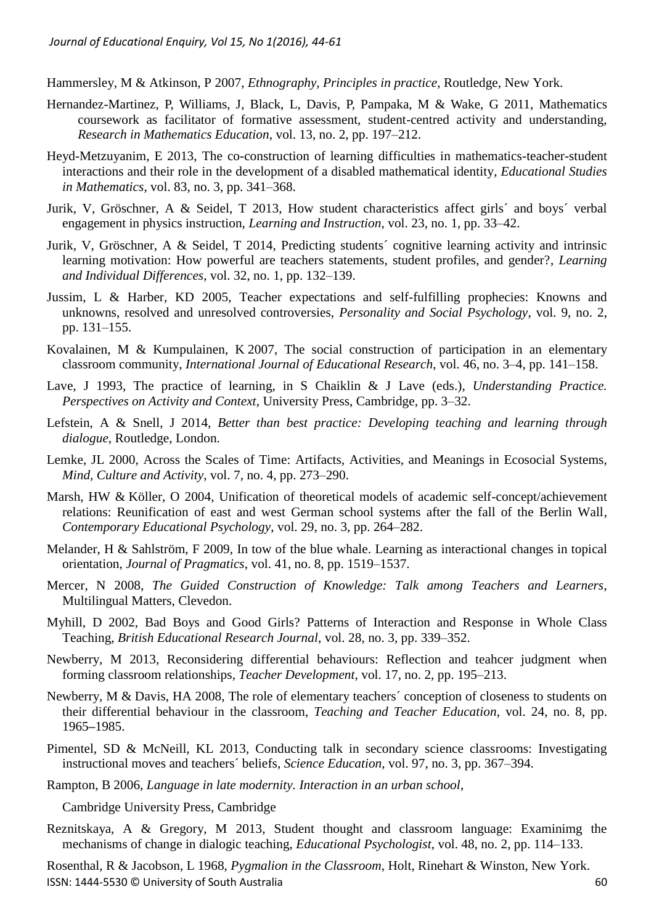Hammersley, M & Atkinson, P 2007, *Ethnography, Principles in practice*, Routledge, New York.

- Hernandez-Martinez, P, Williams, J, Black, L, Davis, P, Pampaka, M & Wake, G 2011, Mathematics coursework as facilitator of formative assessment, student-centred activity and understanding, *Research in Mathematics Education*, vol. 13, no. 2, pp. 197–212.
- Heyd-Metzuyanim, E 2013, The co-construction of learning difficulties in mathematics-teacher-student interactions and their role in the development of a disabled mathematical identity, *[Educational Studies](http://www-scopus-com.ezproxy.muni.cz/source/sourceInfo.url?sourceId=25961&origin=recordpage)  [in Mathematics](http://www-scopus-com.ezproxy.muni.cz/source/sourceInfo.url?sourceId=25961&origin=recordpage)*, vol. 83, no. 3, pp. 341–368.
- Jurik, V, Gröschner, A & Seidel, T 2013, How student characteristics affect girls´ and boys´ verbal engagement in physics instruction, *Learning and Instruction*, vol. 23, no. 1, pp. 33–42.
- Jurik, V, Gröschner, A & Seidel, T 2014, Predicting students´ cognitive learning activity and intrinsic learning motivation: How powerful are teachers statements, student profiles, and gender?, *Learning and Individual Differences*, vol. 32, no. 1, pp. 132–139.
- Jussim, L & Harber, KD 2005, Teacher expectations and self-fulfilling prophecies: Knowns and unknowns, resolved and unresolved controversies, *Personality and Social Psychology*, vol. 9, no. 2, pp. 131–155.
- [Kovalainen,](http://www.sciencedirect.com/science/article/pii/S0883035507000869) M & [Kumpulainen,](http://www.sciencedirect.com/science/article/pii/S0883035507000869) K 2007, The social construction of participation in an elementary classroom community, *[International Journal of Educational Research](http://www.sciencedirect.com/science/journal/08830355)*, [vol. 46,](http://www.sciencedirect.com/science/journal/08830355/46/3) no. 3–4, pp. 141–158.
- Lave, J 1993, The practice of learning, in S Chaiklin & J Lave (eds.), *Understanding Practice. Perspectives on Activity and Context*, University Press, Cambridge, pp. 3–32.
- Lefstein, A & Snell, J 2014, *Better than best practice: Developing teaching and learning through dialogue*, Routledge, London.
- Lemke, JL 2000, Across the Scales of Time: Artifacts, Activities, and Meanings in Ecosocial Systems, *Mind, Culture and Activity*, vol. 7, no. 4, pp. 273–290.
- Marsh, HW & Köller, O 2004, [Unification of theoretical models of academic self-concept/achievement](http://www-scopus-com.ezproxy.muni.cz/record/display.url?eid=2-s2.0-3142661062&origin=reflist&sort=plf-f&src=s&st1=pygmalion+effects+in+the+classroom&st2=&sid=C59E7A4A08A4317600CC8DD4F6F220C9.kqQeWtawXauCyC8ghhRGJg%3a570&sot=b&sdt=b&sl=41&s=TITLE%28pygmalion+effects+in+the+classroom%29)  [relations: Reunification of east and west German school systems after the fall of the Berlin Wall,](http://www-scopus-com.ezproxy.muni.cz/record/display.url?eid=2-s2.0-3142661062&origin=reflist&sort=plf-f&src=s&st1=pygmalion+effects+in+the+classroom&st2=&sid=C59E7A4A08A4317600CC8DD4F6F220C9.kqQeWtawXauCyC8ghhRGJg%3a570&sot=b&sdt=b&sl=41&s=TITLE%28pygmalion+effects+in+the+classroom%29) *Contemporary Educational Psychology*, vol. 29, no. 3, pp. 264–282.
- Melander, H & Sahlström, F 2009, In tow of the blue whale. Learning as interactional changes in topical orientation, *Journal of Pragmatics*, vol. 41, no. 8, pp. 1519–1537.
- Mercer, N 2008, *The Guided Construction of Knowledge: Talk among Teachers and Learners*, Multilingual Matters, Clevedon.
- Myhill, D 2002, Bad Boys and Good Girls? Patterns of Interaction and Response in Whole Class Teaching, *British Educational Research Journal*, vol. 28, no. 3, pp. 339–352.
- Newberry, M 2013, Reconsidering differential behaviours: Reflection and teahcer judgment when forming classroom relationships, *Teacher Development*, vol. 17, no. 2, pp. 195–213.
- Newberry, M & Davis, HA 2008, The role of elementary teachers´ conception of closeness to students on their differential behaviour in the classroom, *[Teaching and Teacher Education](http://www-scopus-com.ezproxy.muni.cz/source/sourceInfo.url?sourceId=23316&origin=recordpage)*, vol. 24, no. 8, pp. 1965**–**1985.
- Pimentel, SD & McNeill, KL 2013, Conducting talk in secondary science classrooms: Investigating instructional moves and teachers´ beliefs, *Science Education*, vol. 97, no. 3, pp. 367–394.
- Rampton, B 2006, *Language in late modernity. Interaction in an urban school*,

Cambridge University Press, Cambridge

Reznitskaya, A & Gregory, M 2013, Student thought and classroom language: Examinimg the mechanisms of change in dialogic teaching, *Educational Psychologist*, vol. 48, no. 2, pp. 114–133.

ISSN: 1444-5530 © University of South Australia 60 Rosenthal, R & Jacobson, L 1968, *[Pygmalion in the Classroom](http://en.wikipedia.org/wiki/Pygmalion_in_the_Classroom)*, Holt, Rinehart & Winston, New York.